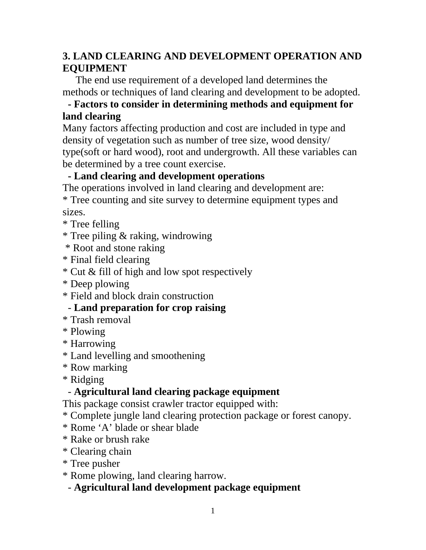# **3. LAND CLEARING AND DEVELOPMENT OPERATION AND EQUIPMENT**

The end use requirement of a developed land determines the methods or techniques of land clearing and development to be adopted.

## **- Factors to consider in determining methods and equipment for land clearing**

Many factors affecting production and cost are included in type and density of vegetation such as number of tree size, wood density/ type(soft or hard wood), root and undergrowth. All these variables can be determined by a tree count exercise.

# **- Land clearing and development operations**

The operations involved in land clearing and development are:

\* Tree counting and site survey to determine equipment types and sizes.

\* Tree felling

\* Tree piling & raking, windrowing

\* Root and stone raking

\* Final field clearing

\* Cut & fill of high and low spot respectively

\* Deep plowing

\* Field and block drain construction

## - **Land preparation for crop raising**

\* Trash removal

\* Plowing

\* Harrowing

\* Land levelling and smoothening

\* Row marking

\* Ridging

## - **Agricultural land clearing package equipment**

This package consist crawler tractor equipped with:

- \* Complete jungle land clearing protection package or forest canopy.
- \* Rome 'A' blade or shear blade
- \* Rake or brush rake
- \* Clearing chain
- \* Tree pusher
- \* Rome plowing, land clearing harrow.

## - **Agricultural land development package equipment**